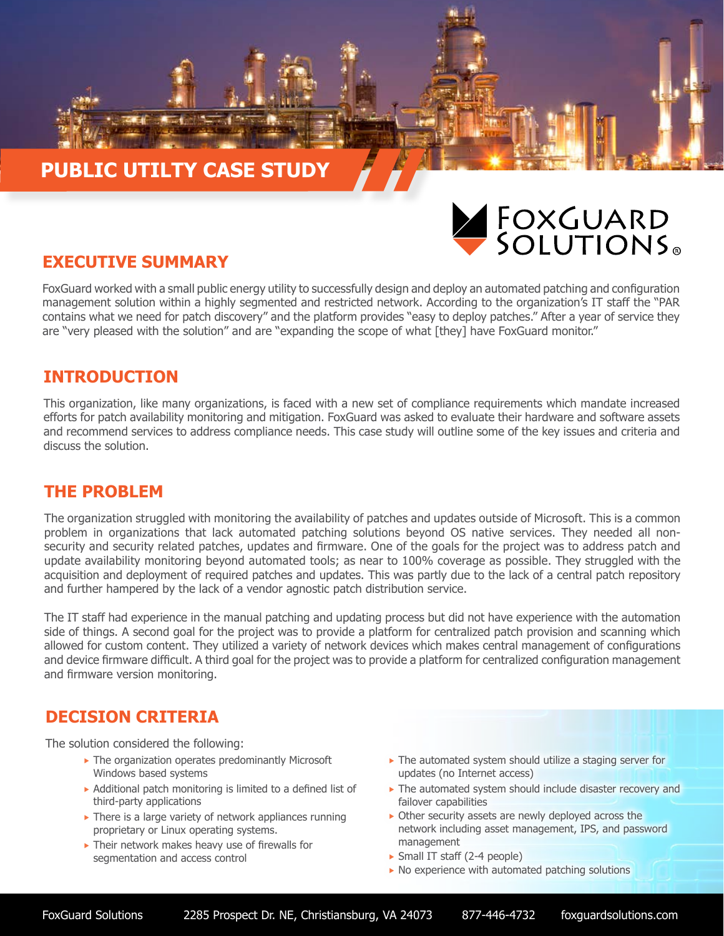# **PUBLIC UTILTY CASE STUDY**



## **EXECUTIVE SUMMARY**

FoxGuard worked with a small public energy utility to successfully design and deploy an automated patching and configuration management solution within a highly segmented and restricted network. According to the organization's IT staff the "PAR contains what we need for patch discovery" and the platform provides "easy to deploy patches." After a year of service they are "very pleased with the solution" and are "expanding the scope of what [they] have FoxGuard monitor."

## **INTRODUCTION**

This organization, like many organizations, is faced with a new set of compliance requirements which mandate increased efforts for patch availability monitoring and mitigation. FoxGuard was asked to evaluate their hardware and software assets and recommend services to address compliance needs. This case study will outline some of the key issues and criteria and discuss the solution.

# **THE PROBLEM**

The organization struggled with monitoring the availability of patches and updates outside of Microsoft. This is a common problem in organizations that lack automated patching solutions beyond OS native services. They needed all nonsecurity and security related patches, updates and firmware. One of the goals for the project was to address patch and update availability monitoring beyond automated tools; as near to 100% coverage as possible. They struggled with the acquisition and deployment of required patches and updates. This was partly due to the lack of a central patch repository and further hampered by the lack of a vendor agnostic patch distribution service.

The IT staff had experience in the manual patching and updating process but did not have experience with the automation side of things. A second goal for the project was to provide a platform for centralized patch provision and scanning which allowed for custom content. They utilized a variety of network devices which makes central management of configurations and device firmware difficult. A third goal for the project was to provide a platform for centralized configuration management and firmware version monitoring.

# **DECISION CRITERIA**

The solution considered the following:

- $\blacktriangleright$  The organization operates predominantly Microsoft Windows based systems
- $\triangleright$  Additional patch monitoring is limited to a defined list of third-party applications
- $\triangleright$  There is a large variety of network appliances running proprietary or Linux operating systems.
- $\blacktriangleright$  Their network makes heavy use of firewalls for segmentation and access control
- $\blacktriangleright$  The automated system should utilize a staging server for updates (no Internet access)
- $\triangleright$  The automated system should include disaster recovery and failover capabilities
- $\triangleright$  Other security assets are newly deployed across the network including asset management, IPS, and password management
- $\triangleright$  Small IT staff (2-4 people)
- $\triangleright$  No experience with automated patching solutions